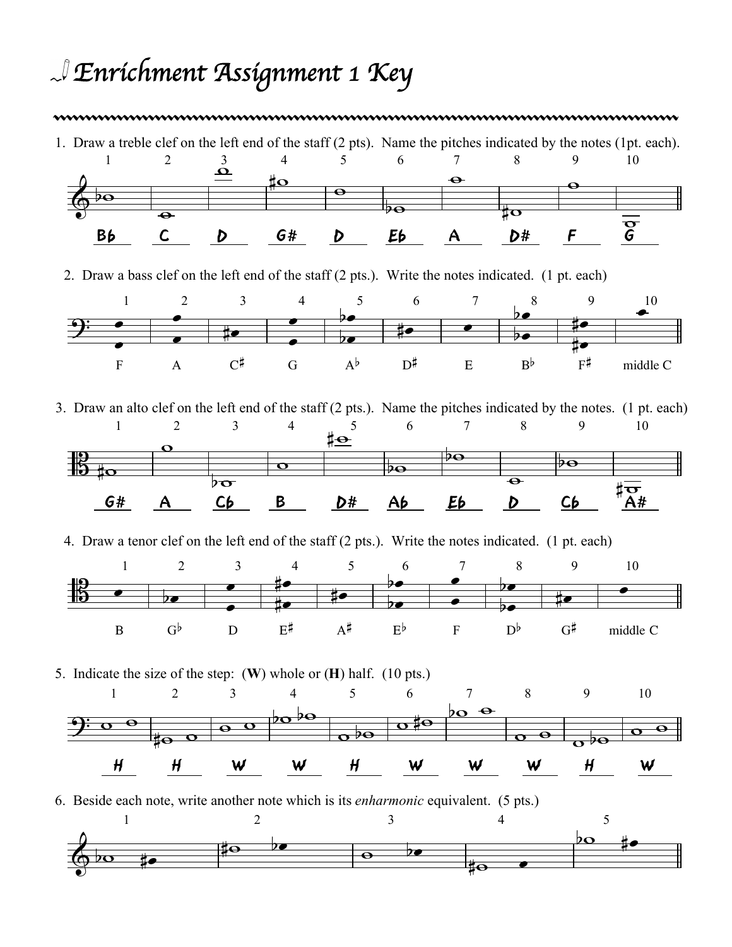## *Enrichment Assignment 1 Key*

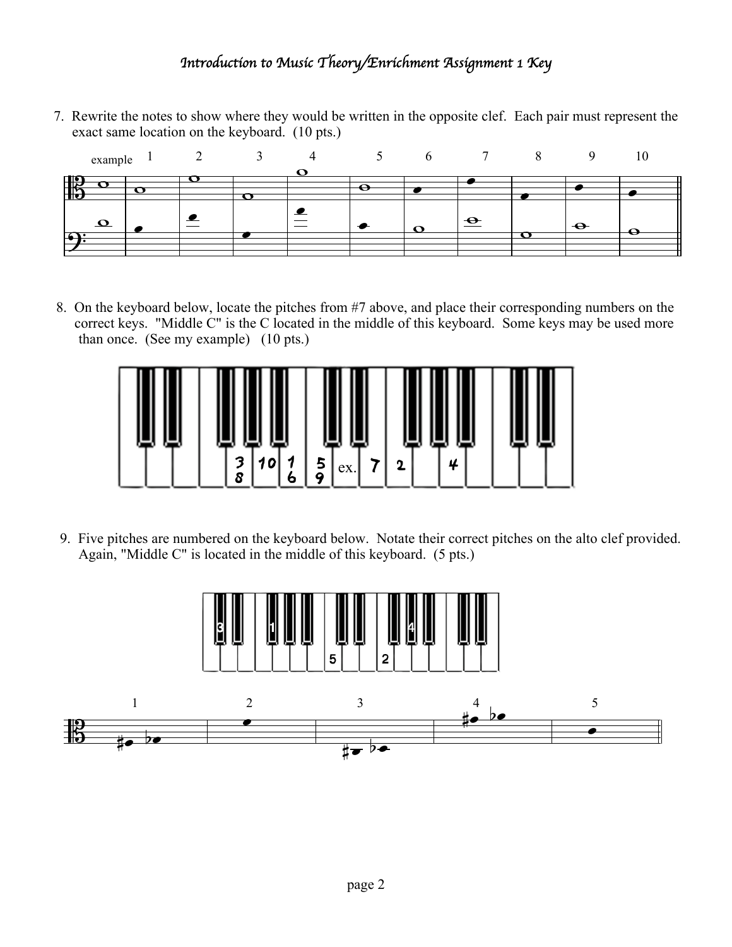## *Introduction to Music Theory/Enrichment Assignment 1 Key*

7. Rewrite the notes to show where they would be written in the opposite clef. Each pair must represent the exact same location on the keyboard. (10 pts.)



8. On the keyboard below, locate the pitches from #7 above, and place their corresponding numbers on the correct keys. "Middle C" is the C located in the middle of this keyboard. Some keys may be used more than once. (See my example) (10 pts.)



9. Five pitches are numbered on the keyboard below. Notate their correct pitches on the alto clef provided. Again, "Middle C" is located in the middle of this keyboard. (5 pts.)